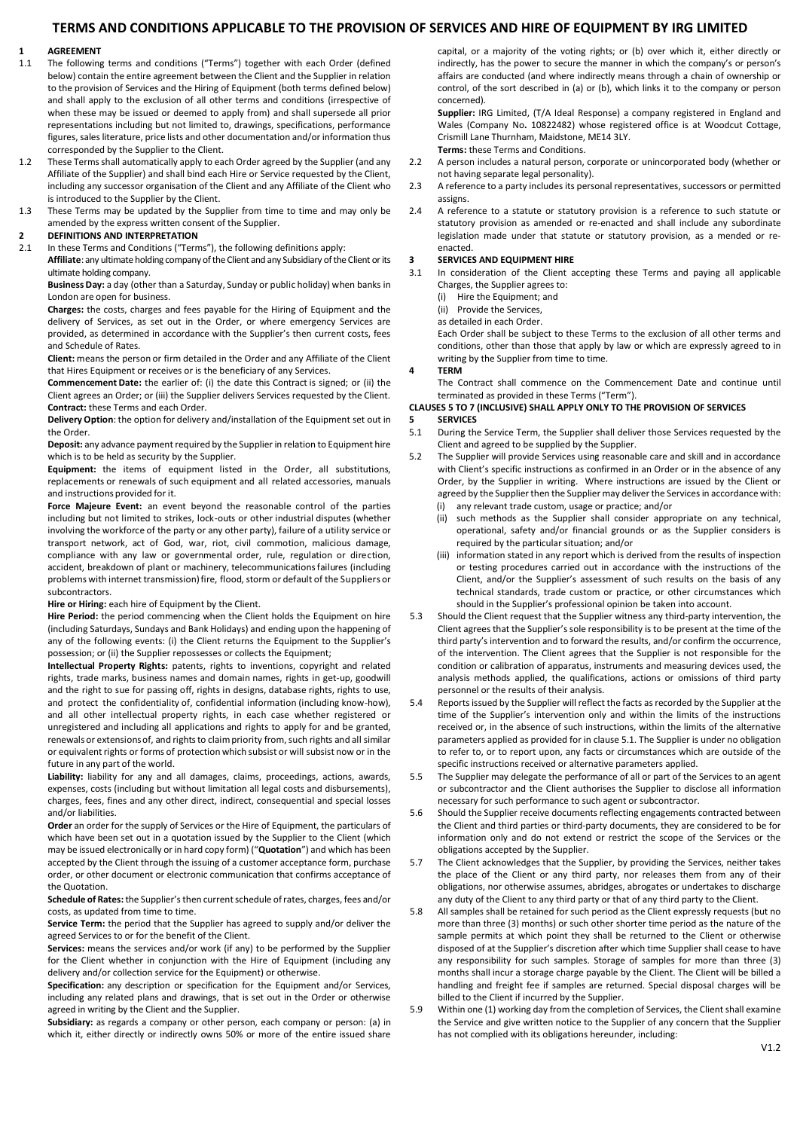## **TERMS AND CONDITIONS APPLICABLE TO THE PROVISION OF SERVICES AND HIRE OF EQUIPMENT BY IRG LIMITED**

# **1 AGREEMENT**<br>**1.1** The following

- The following terms and conditions ("Terms") together with each Order (defined below) contain the entire agreement between the Client and the Supplier in relation to the provision of Services and the Hiring of Equipment (both terms defined below) and shall apply to the exclusion of all other terms and conditions (irrespective of when these may be issued or deemed to apply from) and shall supersede all prior representations including but not limited to, drawings, specifications, performance figures, sales literature, price lists and other documentation and/or information thus corresponded by the Supplier to the Client.
- 1.2 These Terms shall automatically apply to each Order agreed by the Supplier (and any Affiliate of the Supplier) and shall bind each Hire or Service requested by the Client, including any successor organisation of the Client and any Affiliate of the Client who is introduced to the Supplier by the Client.
- 1.3 These Terms may be updated by the Supplier from time to time and may only be amended by the express written consent of the Supplier.

## **2 DEFINITIONS AND INTERPRETATION**

In these Terms and Conditions ("Terms"), the following definitions apply:

**Affiliate**: any ultimate holding company of the Client and any Subsidiary of the Client or its ultimate holding company.

**Business Day:** a day (other than a Saturday, Sunday or public holiday) when banks in London are open for business.

**Charges:** the costs, charges and fees payable for the Hiring of Equipment and the delivery of Services, as set out in the Order, or where emergency Services are provided, as determined in accordance with the Supplier's then current costs, fees and Schedule of Rates.

**Client:** means the person or firm detailed in the Order and any Affiliate of the Client that Hires Equipment or receives or is the beneficiary of any Services.

**Commencement Date:** the earlier of: (i) the date this Contract is signed; or (ii) the Client agrees an Order; or (iii) the Supplier delivers Services requested by the Client. **Contract:** these Terms and each Order.

**Delivery Option**: the option for delivery and/installation of the Equipment set out in the Order.

**Deposit:** any advance payment required by the Supplier in relation to Equipment hire which is to be held as security by the Supplier.

**Equipment:** the items of equipment listed in the Order, all substitutions, replacements or renewals of such equipment and all related accessories, manuals and instructions provided for it.

**Force Majeure Event:** an event beyond the reasonable control of the parties including but not limited to strikes, lock-outs or other industrial disputes (whether involving the workforce of the party or any other party), failure of a utility service or transport network, act of God, war, riot, civil commotion, malicious damage, compliance with any law or governmental order, rule, regulation or direction, accident, breakdown of plant or machinery, telecommunicationsfailures (including problems with internet transmission) fire, flood, storm or default of the Suppliers or subcontractors.

**Hire or Hiring:** each hire of Equipment by the Client.

**Hire Period:** the period commencing when the Client holds the Equipment on hire (including Saturdays, Sundays and Bank Holidays) and ending upon the happening of any of the following events: (i) the Client returns the Equipment to the Supplier's possession; or (ii) the Supplier repossesses or collects the Equipment;

**Intellectual Property Rights:** patents, rights to inventions, copyright and related rights, trade marks, business names and domain names, rights in get-up, goodwill and the right to sue for passing off, rights in designs, database rights, rights to use, and protect the confidentiality of, confidential information (including know-how), and all other intellectual property rights, in each case whether registered or unregistered and including all applications and rights to apply for and be granted, renewals or extensions of, and rights to claim priority from, such rights and all similar or equivalent rights or forms of protection which subsist or will subsist now or in the future in any part of the world.

**Liability:** liability for any and all damages, claims, proceedings, actions, awards, expenses, costs (including but without limitation all legal costs and disbursements), charges, fees, fines and any other direct, indirect, consequential and special losses and/or liabilities.

**Order** an order for the supply of Services or the Hire of Equipment, the particulars of which have been set out in a quotation issued by the Supplier to the Client (which may be issued electronically or in hard copy form) ("**Quotation**") and which has been accepted by the Client through the issuing of a customer acceptance form, purchase order, or other document or electronic communication that confirms acceptance of the Quotation.

**Schedule of Rates:** the Supplier's then current schedule of rates, charges, fees and/or costs, as updated from time to time.

**Service Term:** the period that the Supplier has agreed to supply and/or deliver the agreed Services to or for the benefit of the Client.

**Services:** means the services and/or work (if any) to be performed by the Supplier for the Client whether in conjunction with the Hire of Equipment (including any delivery and/or collection service for the Equipment) or otherwise.

**Specification:** any description or specification for the Equipment and/or Services, including any related plans and drawings, that is set out in the Order or otherwise agreed in writing by the Client and the Supplier.

**Subsidiary:** as regards a company or other person, each company or person: (a) in which it, either directly or indirectly owns 50% or more of the entire issued share capital, or a majority of the voting rights; or (b) over which it, either directly or indirectly, has the power to secure the manner in which the company's or person's affairs are conducted (and where indirectly means through a chain of ownership or control, of the sort described in (a) or (b), which links it to the company or person concerned).

**Supplier:** IRG Limited, (T/A Ideal Response) a company registered in England and Wales (Company No**.** 10822482) [whose registered office is at W](https://beta.companieshouse.gov.uk/company/04367515)oodcut Cottage, Crismill Lane Thurnham, Maidstone, ME14 3LY. **Terms:** these Terms and Conditions.

- 2.2 A person includes a natural person, corporate or unincorporated body (whether or not having separate legal personality).
- 2.3 A reference to a party includes its personal representatives, successors or permitted assigns.
- 2.4 A reference to a statute or statutory provision is a reference to such statute or statutory provision as amended or re-enacted and shall include any subordinate legislation made under that statute or statutory provision, as a mended or reenacted.

# **3 SERVICES AND EQUIPMENT HIRE**<br>**3.1** In consideration of the Client a

In consideration of the Client accepting these Terms and paying all applicable Charges, the Supplier agrees to:

(i) Hire the Equipment; and

(ii) Provide the Services,

as detailed in each Order.

Each Order shall be subject to these Terms to the exclusion of all other terms and conditions, other than those that apply by law or which are expressly agreed to in writing by the Supplier from time to time.

#### **4 TERM**

The Contract shall commence on the Commencement Date and continue until terminated as provided in these Terms ("Term").

## **CLAUSE[S 5](#page-0-0) TO 7 (INCLUSIVE) SHALL APPLY ONLY TO THE PROVISION OF SERVICES**

- <span id="page-0-0"></span>**5 SERVICES**
- <span id="page-0-1"></span>5.1 During the Service Term, the Supplier shall deliver those Services requested by the Client and agreed to be supplied by the Supplier.
- 5.2 The Supplier will provide Services using reasonable care and skill and in accordance with Client's specific instructions as confirmed in an Order or in the absence of any Order, by the Supplier in writing. Where instructions are issued by the Client or agreed by the Supplier then the Supplier may deliver the Services in accordance with:
	- (i) any relevant trade custom, usage or practice; and/or
	- (ii) such methods as the Supplier shall consider appropriate on any technical, operational, safety and/or financial grounds or as the Supplier considers is required by the particular situation; and/or
	- (iii) information stated in any report which is derived from the results of inspection or testing procedures carried out in accordance with the instructions of the Client, and/or the Supplier's assessment of such results on the basis of any technical standards, trade custom or practice, or other circumstances which should in the Supplier's professional opinion be taken into account.
- 5.3 Should the Client request that the Supplier witness any third-party intervention, the Client agrees that the Supplier's sole responsibility is to be present at the time of the third party's intervention and to forward the results, and/or confirm the occurrence, of the intervention. The Client agrees that the Supplier is not responsible for the condition or calibration of apparatus, instruments and measuring devices used, the analysis methods applied, the qualifications, actions or omissions of third party personnel or the results of their analysis.
- 5.4 Reports issued by the Supplier will reflect the facts as recorded by the Supplier at the time of the Supplier's intervention only and within the limits of the instructions received or, in the absence of such instructions, within the limits of the alternative parameters applied as provided for in claus[e 5.1.](#page-0-1) The Supplier is under no obligation to refer to, or to report upon, any facts or circumstances which are outside of the specific instructions received or alternative parameters applied.
- 5.5 The Supplier may delegate the performance of all or part of the Services to an agent or subcontractor and the Client authorises the Supplier to disclose all information necessary for such performance to such agent or subcontractor.
- 5.6 Should the Supplier receive documents reflecting engagements contracted between the Client and third parties or third-party documents, they are considered to be for information only and do not extend or restrict the scope of the Services or the obligations accepted by the Supplier.
- 5.7 The Client acknowledges that the Supplier, by providing the Services, neither takes the place of the Client or any third party, nor releases them from any of their obligations, nor otherwise assumes, abridges, abrogates or undertakes to discharge any duty of the Client to any third party or that of any third party to the Client.
- 5.8 All samples shall be retained for such period as the Client expressly requests (but no more than three (3) months) or such other shorter time period as the nature of the sample permits at which point they shall be returned to the Client or otherwise disposed of at the Supplier's discretion after which time Supplier shall cease to have any responsibility for such samples. Storage of samples for more than three (3) months shall incur a storage charge payable by the Client. The Client will be billed a handling and freight fee if samples are returned. Special disposal charges will be billed to the Client if incurred by the Supplier.
- 5.9 Within one (1) working day from the completion of Services, the Client shall examine the Service and give written notice to the Supplier of any concern that the Supplier has not complied with its obligations hereunder, including: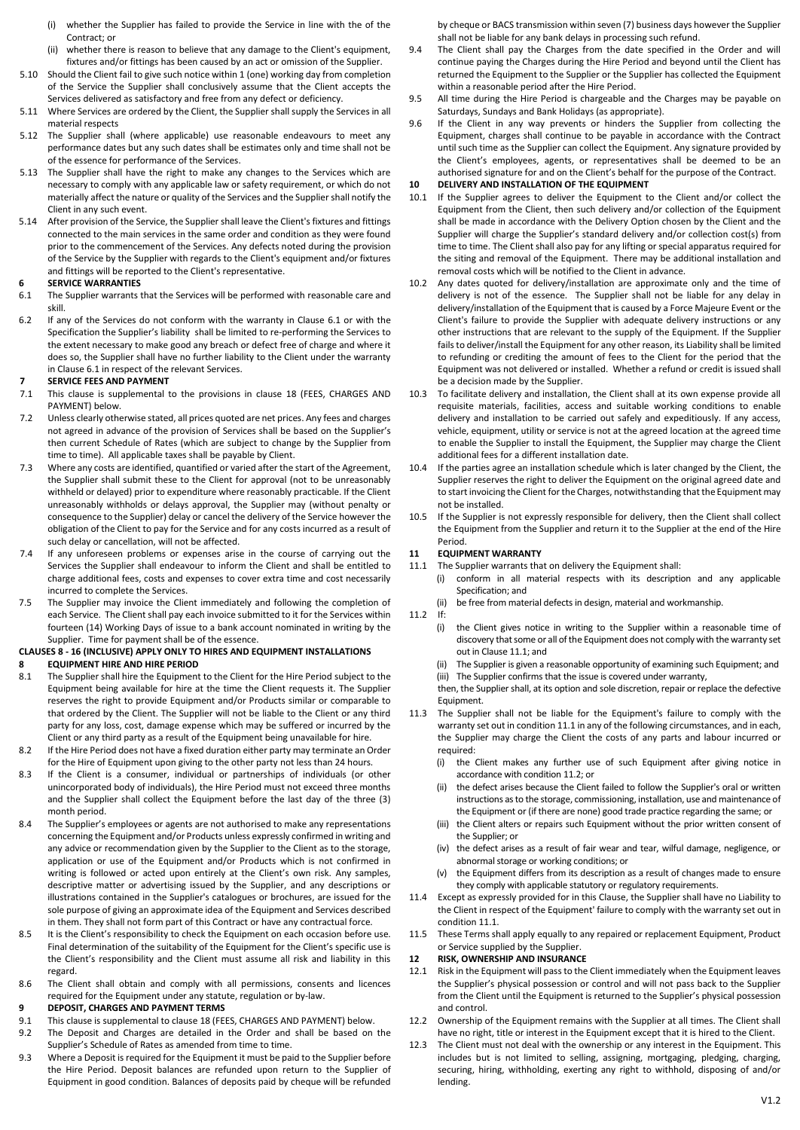- (i) whether the Supplier has failed to provide the Service in line with the of the Contract; or
- (ii) whether there is reason to believe that any damage to the Client's equipment, fixtures and/or fittings has been caused by an act or omission of the Supplier.
- 5.10 Should the Client fail to give such notice within 1 (one) working day from completion of the Service the Supplier shall conclusively assume that the Client accepts the Services delivered as satisfactory and free from any defect or deficiency.
- 5.11 Where Services are ordered by the Client, the Supplier shall supply the Services in all material respects
- 5.12 The Supplier shall (where applicable) use reasonable endeavours to meet any performance dates but any such dates shall be estimates only and time shall not be of the essence for performance of the Services.
- 5.13 The Supplier shall have the right to make any changes to the Services which are necessary to comply with any applicable law or safety requirement, or which do not materially affect the nature or quality of the Services and the Supplier shall notify the Client in any such event.
- 5.14 After provision of the Service, the Supplier shall leave the Client's fixtures and fittings connected to the main services in the same order and condition as they were found prior to the commencement of the Services. Any defects noted during the provision of the Service by the Supplier with regards to the Client's equipment and/or fixtures and fittings will be reported to the Client's representative.

### **6 SERVICE WARRANTIES**

- <span id="page-1-0"></span>6.1 The Supplier warrants that the Services will be performed with reasonable care and skill.
- 6.2 If any of the Services do not conform with the warranty in Clause [6.1](#page-1-0) or with the Specification the Supplier's liability shall be limited to re-performing the Services to the extent necessary to make good any breach or defect free of charge and where it does so, the Supplier shall have no further liability to the Client under the warranty in Claus[e 6.1](#page-1-0) in respect of the relevant Services.

### **7 SERVICE FEES AND PAYMENT**

- 7.1 This clause is supplemental to the provisions in clause 18 (FEES, CHARGES AND PAYMENT) below.
- 7.2 Unless clearly otherwise stated, all prices quoted are net prices. Any fees and charges not agreed in advance of the provision of Services shall be based on the Supplier's then current Schedule of Rates (which are subject to change by the Supplier from time to time). All applicable taxes shall be payable by Client.
- 7.3 Where any costs are identified, quantified or varied after the start of the Agreement, the Supplier shall submit these to the Client for approval (not to be unreasonably withheld or delayed) prior to expenditure where reasonably practicable. If the Client unreasonably withholds or delays approval, the Supplier may (without penalty or consequence to the Supplier) delay or cancel the delivery of the Service however the obligation of the Client to pay for the Service and for any costs incurred as a result of such delay or cancellation, will not be affected.
- 7.4 If any unforeseen problems or expenses arise in the course of carrying out the Services the Supplier shall endeavour to inform the Client and shall be entitled to charge additional fees, costs and expenses to cover extra time and cost necessarily incurred to complete the Services.
- 7.5 The Supplier may invoice the Client immediately and following the completion of each Service. The Client shall pay each invoice submitted to it for the Services within fourteen (14) Working Days of issue to a bank account nominated in writing by the Supplier. Time for payment shall be of the essence.

## **CLAUSES 8 - 16 (INCLUSIVE) APPLY ONLY TO HIRES AND EQUIPMENT INSTALLATIONS**

## **8 EQUIPMENT HIRE AND HIRE PERIOD**

- 8.1 The Supplier shall hire the Equipment to the Client for the Hire Period subject to the Equipment being available for hire at the time the Client requests it. The Supplier reserves the right to provide Equipment and/or Products similar or comparable to that ordered by the Client. The Supplier will not be liable to the Client or any third party for any loss, cost, damage expense which may be suffered or incurred by the Client or any third party as a result of the Equipment being unavailable for hire.
- 8.2 If the Hire Period does not have a fixed duration either party may terminate an Order for the Hire of Equipment upon giving to the other party not less than 24 hours.
- 8.3 If the Client is a consumer, individual or partnerships of individuals (or other unincorporated body of individuals), the Hire Period must not exceed three months and the Supplier shall collect the Equipment before the last day of the three (3) month period.
- 8.4 The Supplier's employees or agents are not authorised to make any representations concerning the Equipment and/or Products unless expressly confirmed in writing and any advice or recommendation given by the Supplier to the Client as to the storage, application or use of the Equipment and/or Products which is not confirmed in writing is followed or acted upon entirely at the Client's own risk. Any samples, descriptive matter or advertising issued by the Supplier, and any descriptions or illustrations contained in the Supplier's catalogues or brochures, are issued for the sole purpose of giving an approximate idea of the Equipment and Services described in them. They shall not form part of this Contract or have any contractual force.
- 8.5 It is the Client's responsibility to check the Equipment on each occasion before use. Final determination of the suitability of the Equipment for the Client's specific use is the Client's responsibility and the Client must assume all risk and liability in this regard.
- 8.6 The Client shall obtain and comply with all permissions, consents and licences required for the Equipment under any statute, regulation or by-law.

# **9 DEPOSIT, CHARGES AND PAYMENT TERMS**

- This clause is supplemental to claus[e 18](#page-2-0) (FEES, CHARGES AND PAYMENT) below.
- 9.2 The Deposit and Charges are detailed in the Order and shall be based on the Supplier's Schedule of Rates as amended from time to time.
- 9.3 Where a Deposit is required for the Equipment it must be paid to the Supplier before the Hire Period. Deposit balances are refunded upon return to the Supplier of Equipment in good condition. Balances of deposits paid by cheque will be refunded

by cheque or BACS transmission within seven (7) business days however the Supplier shall not be liable for any bank delays in processing such refund.

- 9.4 The Client shall pay the Charges from the date specified in the Order and will continue paying the Charges during the Hire Period and beyond until the Client has returned the Equipment to the Supplier or the Supplier has collected the Equipment within a reasonable period after the Hire Period.
- 9.5 All time during the Hire Period is chargeable and the Charges may be payable on Saturdays, Sundays and Bank Holidays (as appropriate).
- 9.6 If the Client in any way prevents or hinders the Supplier from collecting the Equipment, charges shall continue to be payable in accordance with the Contract until such time as the Supplier can collect the Equipment. Any signature provided by the Client's employees, agents, or representatives shall be deemed to be an authorised signature for and on the Client's behalf for the purpose of the Contract.

# **10 DELIVERY AND INSTALLATION OF THE EQUIPMENT**<br>10.1 If the Supplier agrees to deliver the Equipment to

- If the Supplier agrees to deliver the Equipment to the Client and/or collect the Equipment from the Client, then such delivery and/or collection of the Equipment shall be made in accordance with the Delivery Option chosen by the Client and the Supplier will charge the Supplier's standard delivery and/or collection cost(s) from time to time. The Client shall also pay for any lifting or special apparatus required for the siting and removal of the Equipment. There may be additional installation and removal costs which will be notified to the Client in advance.
- 10.2 Any dates quoted for delivery/installation are approximate only and the time of delivery is not of the essence. The Supplier shall not be liable for any delay in delivery/installation of the Equipment that is caused by a Force Majeure Event or the Client's failure to provide the Supplier with adequate delivery instructions or any other instructions that are relevant to the supply of the Equipment. If the Supplier fails to deliver/install the Equipment for any other reason, its Liability shall be limited to refunding or crediting the amount of fees to the Client for the period that the Equipment was not delivered or installed. Whether a refund or credit is issued shall be a decision made by the Supplier.
- 10.3 To facilitate delivery and installation, the Client shall at its own expense provide all requisite materials, facilities, access and suitable working conditions to enable delivery and installation to be carried out safely and expeditiously. If any access, vehicle, equipment, utility or service is not at the agreed location at the agreed time to enable the Supplier to install the Equipment, the Supplier may charge the Client additional fees for a different installation date.
- 10.4 If the parties agree an installation schedule which is later changed by the Client, the Supplier reserves the right to deliver the Equipment on the original agreed date and to start invoicing the Client for the Charges, notwithstanding that the Equipment may not be installed.
- 10.5 If the Supplier is not expressly responsible for delivery, then the Client shall collect the Equipment from the Supplier and return it to the Supplier at the end of the Hire Period.

## **11 EQUIPMENT WARRANTY**

- <span id="page-1-1"></span>11.1 The Supplier warrants that on delivery the Equipment shall:
	- (i) conform in all material respects with its description and any applicable Specification; and
	- (ii) be free from material defects in design, material and workmanship.<br>If
- <span id="page-1-2"></span> $11.2$ 
	- (i) the Client gives notice in writing to the Supplier within a reasonable time of discovery that some or all of the Equipment does not comply with the warranty set out in Claus[e 11.1;](#page-1-1) and
	- (ii) The Supplier is given a reasonable opportunity of examining such Equipment; and

(iii) The Supplier confirms that the issue is covered under warranty, then, the Supplier shall, at its option and sole discretion, repair or replace the defective Equipment.

- 11.3 The Supplier shall not be liable for the Equipment's failure to comply with the warranty set out in conditio[n 11.1](#page-1-1) in any of the following circumstances, and in each, the Supplier may charge the Client the costs of any parts and labour incurred or required:
	- (i) the Client makes any further use of such Equipment after giving notice in accordance with conditio[n 11.2;](#page-1-2) or
	- (ii) the defect arises because the Client failed to follow the Supplier's oral or written instructions as to the storage, commissioning, installation, use and maintenance of the Equipment or (if there are none) good trade practice regarding the same; or
	- (iii) the Client alters or repairs such Equipment without the prior written consent of the Supplier; or
	- (iv) the defect arises as a result of fair wear and tear, wilful damage, negligence, or abnormal storage or working conditions; or
	- (v) the Equipment differs from its description as a result of changes made to ensure they comply with applicable statutory or regulatory requirements.
- 11.4 Except as expressly provided for in this Clause, the Supplier shall have no Liability to the Client in respect of the Equipment' failure to comply with the warranty set out in conditio[n 11.1.](#page-1-1)
- 11.5 These Terms shall apply equally to any repaired or replacement Equipment, Product or Service supplied by the Supplier.

## **12 RISK, OWNERSHIP AND INSURANCE**

- 12.1 Risk in the Equipment will pass to the Client immediately when the Equipment leaves the Supplier's physical possession or control and will not pass back to the Supplier from the Client until the Equipment is returned to the Supplier's physical possession and control.
- 12.2 Ownership of the Equipment remains with the Supplier at all times. The Client shall have no right, title or interest in the Equipment except that it is hired to the Client.
- 12.3 The Client must not deal with the ownership or any interest in the Equipment. This includes but is not limited to selling, assigning, mortgaging, pledging, charging, securing, hiring, withholding, exerting any right to withhold, disposing of and/or lending.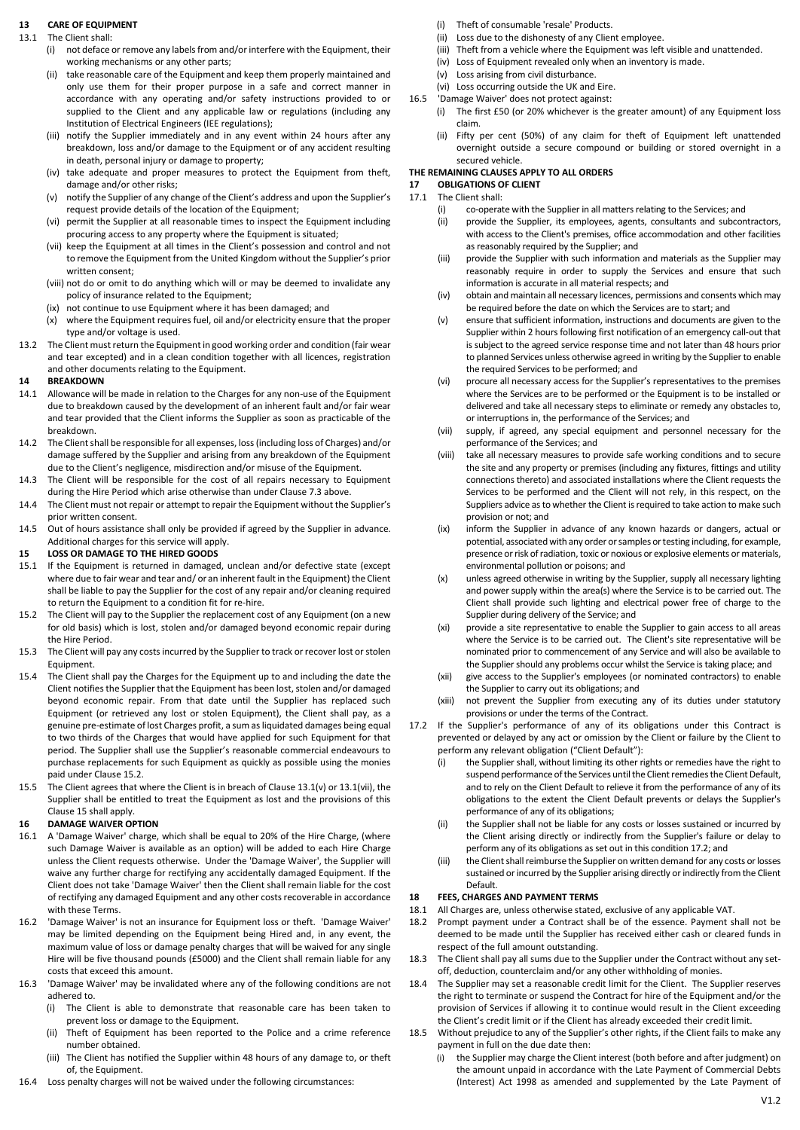### **13 CARE OF EQUIPMENT**

- <span id="page-2-2"></span>13.1 The Client shall:
	- (i) not deface or remove any labels from and/or interfere with the Equipment, their working mechanisms or any other parts;
	- (ii) take reasonable care of the Equipment and keep them properly maintained and only use them for their proper purpose in a safe and correct manner in accordance with any operating and/or safety instructions provided to or supplied to the Client and any applicable law or regulations (including any Institution of Electrical Engineers (IEE regulations);
	- (iii) notify the Supplier immediately and in any event within 24 hours after any breakdown, loss and/or damage to the Equipment or of any accident resulting in death, personal injury or damage to property;
	- (iv) take adequate and proper measures to protect the Equipment from theft, damage and/or other risks;
	- (v) notify the Supplier of any change of the Client's address and upon the Supplier's request provide details of the location of the Equipment;
	- (vi) permit the Supplier at all reasonable times to inspect the Equipment including procuring access to any property where the Equipment is situated;
	- (vii) keep the Equipment at all times in the Client's possession and control and not to remove the Equipment from the United Kingdom without the Supplier's prior written consent;
	- (viii) not do or omit to do anything which will or may be deemed to invalidate any policy of insurance related to the Equipment;
	- (ix) not continue to use Equipment where it has been damaged; and
	- (x) where the Equipment requires fuel, oil and/or electricity ensure that the proper type and/or voltage is used.
- 13.2 The Client must return the Equipment in good working order and condition (fair wear and tear excepted) and in a clean condition together with all licences, registration and other documents relating to the Equipment.

### **14 BREAKDOWN**

- 14.1 Allowance will be made in relation to the Charges for any non-use of the Equipment due to breakdown caused by the development of an inherent fault and/or fair wear and tear provided that the Client informs the Supplier as soon as practicable of the breakdown.
- 14.2 The Client shall be responsible for all expenses, loss (including loss of Charges) and/or damage suffered by the Supplier and arising from any breakdown of the Equipment due to the Client's negligence, misdirection and/or misuse of the Equipment.
- 14.3 The Client will be responsible for the cost of all repairs necessary to Equipment during the Hire Period which arise otherwise than under Clause 7.3 above.
- 14.4 The Client must not repair or attempt to repair the Equipment without the Supplier's prior written consent.
- 14.5 Out of hours assistance shall only be provided if agreed by the Supplier in advance. Additional charges for this service will apply.

## <span id="page-2-3"></span>**15 LOSS OR DAMAGE TO THE HIRED GOODS**

- 15.1 If the Equipment is returned in damaged, unclean and/or defective state (except where due to fair wear and tear and/ or an inherent fault in the Equipment) the Client shall be liable to pay the Supplier for the cost of any repair and/or cleaning required to return the Equipment to a condition fit for re-hire.
- <span id="page-2-1"></span>15.2 The Client will pay to the Supplier the replacement cost of any Equipment (on a new for old basis) which is lost, stolen and/or damaged beyond economic repair during the Hire Period.
- 15.3 The Client will pay any costs incurred by the Supplier to track or recover lost or stolen Equipment.
- 15.4 The Client shall pay the Charges for the Equipment up to and including the date the Client notifies the Supplier that the Equipment has been lost, stolen and/or damaged beyond economic repair. From that date until the Supplier has replaced such Equipment (or retrieved any lost or stolen Equipment), the Client shall pay, as a genuine pre-estimate of lost Charges profit, a sum as liquidated damages being equal to two thirds of the Charges that would have applied for such Equipment for that period. The Supplier shall use the Supplier's reasonable commercial endeavours to purchase replacements for such Equipment as quickly as possible using the monies paid under Claus[e 15.2.](#page-2-1)
- 15.5 The Client agrees that where the Client is in breach of Claus[e 13.1\(v\)](#page-2-2) o[r 13.1\(vii\),](#page-2-2) the Supplier shall be entitled to treat the Equipment as lost and the provisions of this Claus[e 15](#page-2-3) shall apply.

## **16 DAMAGE WAIVER OPTION**

- 16.1 A 'Damage Waiver' charge, which shall be equal to 20% of the Hire Charge, (where such Damage Waiver is available as an option) will be added to each Hire Charge unless the Client requests otherwise. Under the 'Damage Waiver', the Supplier will waive any further charge for rectifying any accidentally damaged Equipment. If the Client does not take 'Damage Waiver' then the Client shall remain liable for the cost of rectifying any damaged Equipment and any other costs recoverable in accordance with these Terms.
- 16.2 'Damage Waiver' is not an insurance for Equipment loss or theft. 'Damage Waiver' may be limited depending on the Equipment being Hired and, in any event, the maximum value of loss or damage penalty charges that will be waived for any single Hire will be five thousand pounds (£5000) and the Client shall remain liable for any costs that exceed this amount.
- 16.3 'Damage Waiver' may be invalidated where any of the following conditions are not adhered to.
	- (i) The Client is able to demonstrate that reasonable care has been taken to prevent loss or damage to the Equipment.
	- (ii) Theft of Equipment has been reported to the Police and a crime reference number obtained.
	- (iii) The Client has notified the Supplier within 48 hours of any damage to, or theft of, the Equipment.
- 16.4 Loss penalty charges will not be waived under the following circumstances:
- (i) Theft of consumable 'resale' Products.<br>(ii) Loss due to the dishonesty of any Clier
- Loss due to the dishonesty of any Client employee.
- (iii) Theft from a vehicle where the Equipment was left visible and unattended.
- (iv) Loss of Equipment revealed only when an inventory is made.
- (v) Loss arising from civil disturbance.
- (vi) Loss occurring outside the UK and Eire. 16.5 'Damage Waiver' does not protect against:
	- (i) The first £50 (or 20% whichever is the greater amount) of any Equipment loss claim.
	- (ii) Fifty per cent (50%) of any claim for theft of Equipment left unattended overnight outside a secure compound or building or stored overnight in a secured vehicle.

# **THE REMAINING CLAUSES APPLY TO ALL ORDERS**

#### **17 OBLIGATIONS OF CLIENT** The Client shall:

- (i) co-operate with the Supplier in all matters relating to the Services; and<br>(ii) provide the Supplier, its emplovees, agents, consultants and subcon
- provide the Supplier, its employees, agents, consultants and subcontractors, with access to the Client's premises, office accommodation and other facilities as reasonably required by the Supplier; and
- (iii) provide the Supplier with such information and materials as the Supplier may reasonably require in order to supply the Services and ensure that such information is accurate in all material respects; and
- (iv) obtain and maintain all necessary licences, permissions and consents which may be required before the date on which the Services are to start; and
- (v) ensure that sufficient information, instructions and documents are given to the Supplier within 2 hours following first notification of an emergency call-out that is subject to the agreed service response time and not later than 48 hours prior to planned Services unless otherwise agreed in writing by the Supplier to enable the required Services to be performed; and
- (vi) procure all necessary access for the Supplier's representatives to the premises where the Services are to be performed or the Equipment is to be installed or delivered and take all necessary steps to eliminate or remedy any obstacles to, or interruptions in, the performance of the Services; and
- (vii) supply, if agreed, any special equipment and personnel necessary for the performance of the Services; and
- (viii) take all necessary measures to provide safe working conditions and to secure the site and any property or premises (including any fixtures, fittings and utility connections thereto) and associated installations where the Client requests the Services to be performed and the Client will not rely, in this respect, on the Suppliers advice as to whether the Client is required to take action to make such provision or not; and
- (ix) inform the Supplier in advance of any known hazards or dangers, actual or potential, associated with any order or samples or testing including, for example, presence or risk of radiation, toxic or noxious or explosive elements or materials, environmental pollution or poisons; and
- (x) unless agreed otherwise in writing by the Supplier, supply all necessary lighting and power supply within the area(s) where the Service is to be carried out. The Client shall provide such lighting and electrical power free of charge to the Supplier during delivery of the Service; and
- (xi) provide a site representative to enable the Supplier to gain access to all areas where the Service is to be carried out. The Client's site representative will be nominated prior to commencement of any Service and will also be available to the Supplier should any problems occur whilst the Service is taking place; and
- (xii) give access to the Supplier's employees (or nominated contractors) to enable the Supplier to carry out its obligations; and
- (xiii) not prevent the Supplier from executing any of its duties under statutory provisions or under the terms of the Contract.
- <span id="page-2-4"></span>17.2 If the Supplier's performance of any of its obligations under this Contract is prevented or delayed by any act or omission by the Client or failure by the Client to perform any relevant obligation ("Client Default"):
	- (i) the Supplier shall, without limiting its other rights or remedies have the right to suspend performance of the Services until the Client remedies the Client Default, and to rely on the Client Default to relieve it from the performance of any of its obligations to the extent the Client Default prevents or delays the Supplier's performance of any of its obligations;
	- (ii) the Supplier shall not be liable for any costs or losses sustained or incurred by the Client arising directly or indirectly from the Supplier's failure or delay to perform any of its obligations as set out in this conditio[n 17.2;](#page-2-4) and
	- (iii) the Client shall reimburse the Supplier on written demand for any costs or losses sustained or incurred by the Supplier arising directly or indirectly from the Client Default.

## <span id="page-2-0"></span>**18 FEES, CHARGES AND PAYMENT TERMS**

- 18.1 All Charges are, unless otherwise stated, exclusive of any applicable VAT.
- 18.2 Prompt payment under a Contract shall be of the essence. Payment shall not be deemed to be made until the Supplier has received either cash or cleared funds in respect of the full amount outstanding.
- 18.3 The Client shall pay all sums due to the Supplier under the Contract without any setoff, deduction, counterclaim and/or any other withholding of monies.
- 18.4 The Supplier may set a reasonable credit limit for the Client. The Supplier reserves the right to terminate or suspend the Contract for hire of the Equipment and/or the provision of Services if allowing it to continue would result in the Client exceeding the Client's credit limit or if the Client has already exceeded their credit limit.
- 18.5 Without prejudice to any of the Supplier's other rights, if the Client fails to make any payment in full on the due date then:
	- (i) the Supplier may charge the Client interest (both before and after judgment) on the amount unpaid in accordance with the Late Payment of Commercial Debts (Interest) Act 1998 as amended and supplemented by the Late Payment of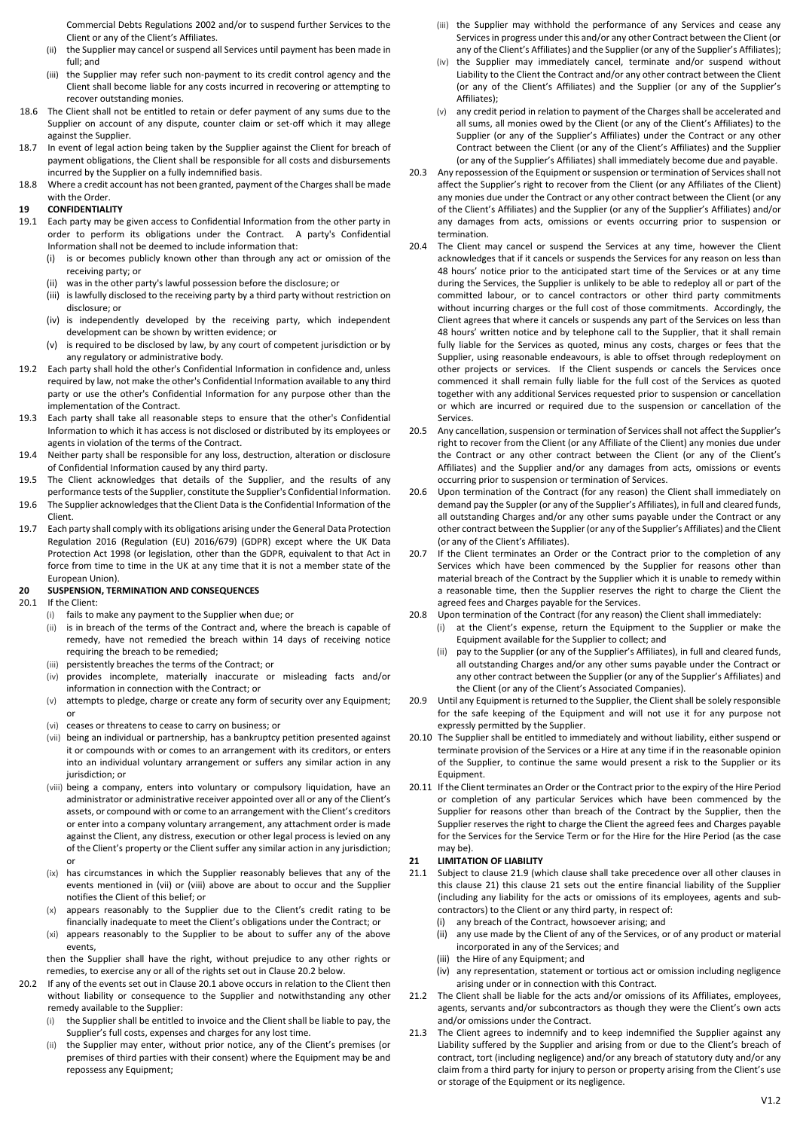Commercial Debts Regulations 2002 and/or to suspend further Services to the Client or any of the Client's Affiliates.

- (ii) the Supplier may cancel or suspend all Services until payment has been made in full; and
- (iii) the Supplier may refer such non-payment to its credit control agency and the Client shall become liable for any costs incurred in recovering or attempting to recover outstanding monies.
- 18.6 The Client shall not be entitled to retain or defer payment of any sums due to the Supplier on account of any dispute, counter claim or set-off which it may allege against the Supplier.
- 18.7 In event of legal action being taken by the Supplier against the Client for breach of payment obligations, the Client shall be responsible for all costs and disbursements incurred by the Supplier on a fully indemnified basis.
- 18.8 Where a credit account has not been granted, payment of the Charges shall be made with the Order.

## **19 CONFIDENTIALITY**

- 19.1 Each party may be given access to Confidential Information from the other party in order to perform its obligations under the Contract. A party's Confidential Information shall not be deemed to include information that:
	- (i) is or becomes publicly known other than through any act or omission of the receiving party; or
	- (ii) was in the other party's lawful possession before the disclosure; or
	- (iii) is lawfully disclosed to the receiving party by a third party without restriction on disclosure; or
	- (iv) is independently developed by the receiving party, which independent development can be shown by written evidence; or
	- (v) is required to be disclosed by law, by any court of competent jurisdiction or by any regulatory or administrative body.
- 19.2 Each party shall hold the other's Confidential Information in confidence and, unless required by law, not make the other's Confidential Information available to any third party or use the other's Confidential Information for any purpose other than the implementation of the Contract.
- 19.3 Each party shall take all reasonable steps to ensure that the other's Confidential Information to which it has access is not disclosed or distributed by its employees or agents in violation of the terms of the Contract.
- 19.4 Neither party shall be responsible for any loss, destruction, alteration or disclosure of Confidential Information caused by any third party.
- 19.5 The Client acknowledges that details of the Supplier, and the results of any performance tests of the Supplier, constitute the Supplier's Confidential Information.
- 19.6 The Supplier acknowledges that the Client Data is the Confidential Information of the Client.
- 19.7 Each party shall comply with its obligations arising under the General Data Protection Regulation 2016 (Regulation (EU) 2016/679) (GDPR) except where the UK Data Protection Act 1998 (or legislation, other than the GDPR, equivalent to that Act in force from time to time in the UK at any time that it is not a member state of the European Union).

## **20 SUSPENSION, TERMINATION AND CONSEQUENCES**

- <span id="page-3-1"></span>If the Client:
	- (i) fails to make any payment to the Supplier when due; or
	- (ii) is in breach of the terms of the Contract and, where the breach is capable of remedy, have not remedied the breach within 14 days of receiving notice requiring the breach to be remedied;
	- (iii) persistently breaches the terms of the Contract; or
	- (iv) provides incomplete, materially inaccurate or misleading facts and/or information in connection with the Contract; or
	- (v) attempts to pledge, charge or create any form of security over any Equipment; or
	- (vi) ceases or threatens to cease to carry on business; or
	- (vii) being an individual or partnership, has a bankruptcy petition presented against it or compounds with or comes to an arrangement with its creditors, or enters into an individual voluntary arrangement or suffers any similar action in any jurisdiction: or
	- (viii) being a company, enters into voluntary or compulsory liquidation, have an administrator or administrative receiver appointed over all or any of the Client's assets, or compound with or come to an arrangement with the Client's creditors or enter into a company voluntary arrangement, any attachment order is made against the Client, any distress, execution or other legal process is levied on any of the Client's property or the Client suffer any similar action in any jurisdiction; or
	- (ix) has circumstances in which the Supplier reasonably believes that any of the events mentioned in (vii) or (viii) above are about to occur and the Supplier notifies the Client of this belief; or
	- appears reasonably to the Supplier due to the Client's credit rating to be financially inadequate to meet the Client's obligations under the Contract; or
	- (xi) appears reasonably to the Supplier to be about to suffer any of the above events,
	- then the Supplier shall have the right, without prejudice to any other rights or remedies, to exercise any or all of the rights set out in Claus[e 20.2](#page-3-0) below.
- <span id="page-3-0"></span>20.2 If any of the events set out in Claus[e 20.1](#page-3-1) above occurs in relation to the Client then without liability or consequence to the Supplier and notwithstanding any other remedy available to the Supplier:
	- (i) the Supplier shall be entitled to invoice and the Client shall be liable to pay, the Supplier's full costs, expenses and charges for any lost time.
	- (ii) the Supplier may enter, without prior notice, any of the Client's premises (or premises of third parties with their consent) where the Equipment may be and repossess any Equipment;
- (iii) the Supplier may withhold the performance of any Services and cease any Services in progress under this and/or any other Contract between the Client (or any of the Client's Affiliates) and the Supplier (or any of the Supplier's Affiliates);
- (iv) the Supplier may immediately cancel, terminate and/or suspend without Liability to the Client the Contract and/or any other contract between the Client (or any of the Client's Affiliates) and the Supplier (or any of the Supplier's Affiliates);
- (v) any credit period in relation to payment of the Charges shall be accelerated and all sums, all monies owed by the Client (or any of the Client's Affiliates) to the Supplier (or any of the Supplier's Affiliates) under the Contract or any other Contract between the Client (or any of the Client's Affiliates) and the Supplier (or any of the Supplier's Affiliates) shall immediately become due and payable.
- 20.3 Any repossession of the Equipment or suspension or termination of Services shall not affect the Supplier's right to recover from the Client (or any Affiliates of the Client) any monies due under the Contract or any other contract between the Client (or any of the Client's Affiliates) and the Supplier (or any of the Supplier's Affiliates) and/or any damages from acts, omissions or events occurring prior to suspension or termination.
- 20.4 The Client may cancel or suspend the Services at any time, however the Client acknowledges that if it cancels or suspends the Services for any reason on less than 48 hours' notice prior to the anticipated start time of the Services or at any time during the Services, the Supplier is unlikely to be able to redeploy all or part of the committed labour, or to cancel contractors or other third party commitments without incurring charges or the full cost of those commitments. Accordingly, the Client agrees that where it cancels or suspends any part of the Services on less than 48 hours' written notice and by telephone call to the Supplier, that it shall remain fully liable for the Services as quoted, minus any costs, charges or fees that the Supplier, using reasonable endeavours, is able to offset through redeployment on other projects or services. If the Client suspends or cancels the Services once commenced it shall remain fully liable for the full cost of the Services as quoted together with any additional Services requested prior to suspension or cancellation or which are incurred or required due to the suspension or cancellation of the Services.
- 20.5 Any cancellation, suspension or termination of Services shall not affect the Supplier's right to recover from the Client (or any Affiliate of the Client) any monies due under the Contract or any other contract between the Client (or any of the Client's Affiliates) and the Supplier and/or any damages from acts, omissions or events occurring prior to suspension or termination of Services.
- 20.6 Upon termination of the Contract (for any reason) the Client shall immediately on demand pay the Suppler (or any of the Supplier's Affiliates), in full and cleared funds, all outstanding Charges and/or any other sums payable under the Contract or any other contract between the Supplier (or any of the Supplier's Affiliates) and the Client (or any of the Client's Affiliates).
- 20.7 If the Client terminates an Order or the Contract prior to the completion of any Services which have been commenced by the Supplier for reasons other than material breach of the Contract by the Supplier which it is unable to remedy within a reasonable time, then the Supplier reserves the right to charge the Client the agreed fees and Charges payable for the Services.
- 20.8 Upon termination of the Contract (for any reason) the Client shall immediately:
	- (i) at the Client's expense, return the Equipment to the Supplier or make the Equipment available for the Supplier to collect; and
	- (ii) pay to the Supplier (or any of the Supplier's Affiliates), in full and cleared funds, all outstanding Charges and/or any other sums payable under the Contract or any other contract between the Supplier (or any of the Supplier's Affiliates) and the Client (or any of the Client's Associated Companies).
- 20.9 Until any Equipment is returned to the Supplier, the Client shall be solely responsible for the safe keeping of the Equipment and will not use it for any purpose not expressly permitted by the Supplier.
- 20.10 The Supplier shall be entitled to immediately and without liability, either suspend or terminate provision of the Services or a Hire at any time if in the reasonable opinion of the Supplier, to continue the same would present a risk to the Supplier or its Equipment.
- 20.11 If the Client terminates an Order or the Contract prior to the expiry of the Hire Period or completion of any particular Services which have been commenced by the Supplier for reasons other than breach of the Contract by the Supplier, then the Supplier reserves the right to charge the Client the agreed fees and Charges payable for the Services for the Service Term or for the Hire for the Hire Period (as the case may be).

## <span id="page-3-2"></span>**21 LIMITATION OF LIABILITY**

- 21.1 Subject to claus[e 21.9](#page-4-0) (which clause shall take precedence over all other clauses in this claus[e 21\)](#page-3-2) this clause [21](#page-3-2) sets out the entire financial liability of the Supplier (including any liability for the acts or omissions of its employees, agents and sub‐ contractors) to the Client or any third party, in respect of:
	- any breach of the Contract, howsoever arising; and
	- (ii) any use made by the Client of any of the Services, or of any product or material incorporated in any of the Services; and
	- (iii) the Hire of any Equipment; and
	- (iv) any representation, statement or tortious act or omission including negligence arising under or in connection with this Contract.
- 21.2 The Client shall be liable for the acts and/or omissions of its Affiliates, employees, agents, servants and/or subcontractors as though they were the Client's own acts and/or omissions under the Contract.
- 21.3 The Client agrees to indemnify and to keep indemnified the Supplier against any Liability suffered by the Supplier and arising from or due to the Client's breach of contract, tort (including negligence) and/or any breach of statutory duty and/or any claim from a third party for injury to person or property arising from the Client's use or storage of the Equipment or its negligence.